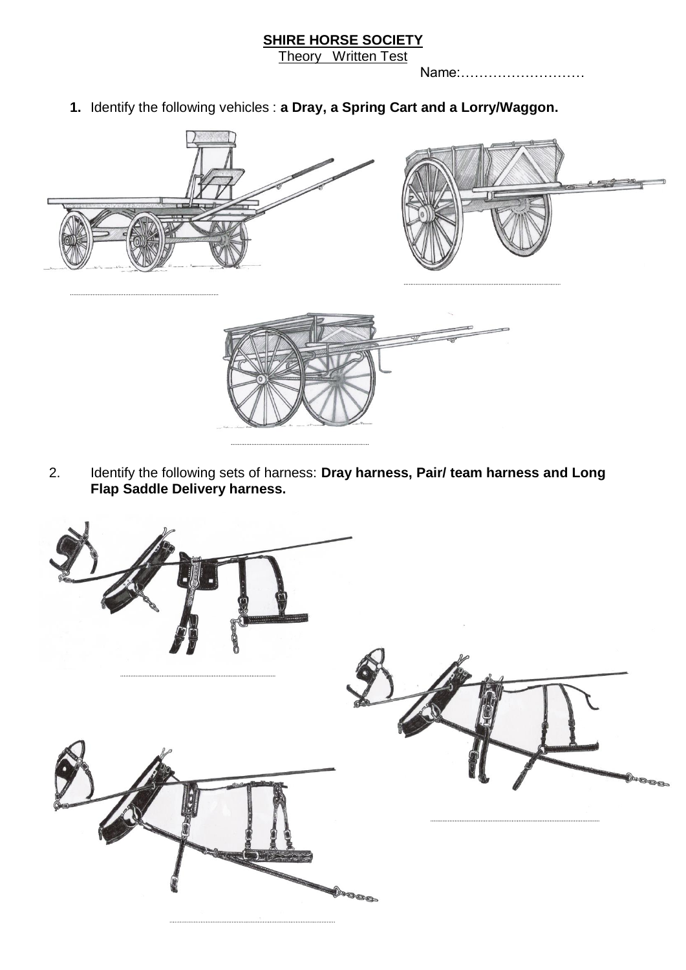**SHIRE HORSE SOCIETY**

Theory Written Test

Name:………………………

**1.** Identify the following vehicles : **a Dray, a Spring Cart and a Lorry/Waggon.**



2. Identify the following sets of harness: **Dray harness, Pair/ team harness and Long Flap Saddle Delivery harness.**

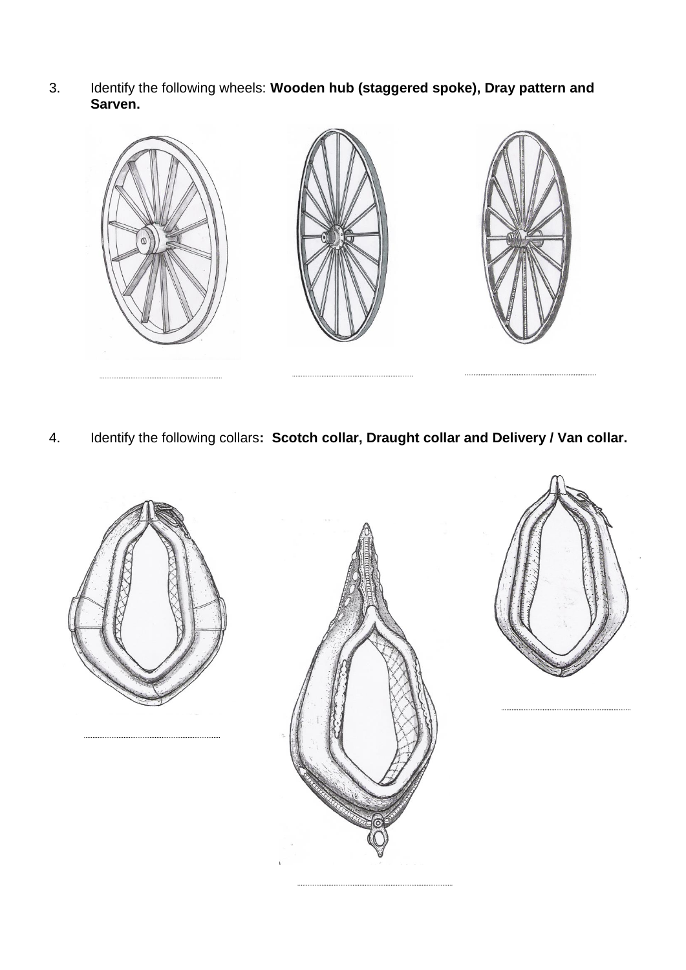3. Identify the following wheels: **Wooden hub (staggered spoke), Dray pattern and Sarven.**



4. Identify the following collars**: Scotch collar, Draught collar and Delivery / Van collar.**